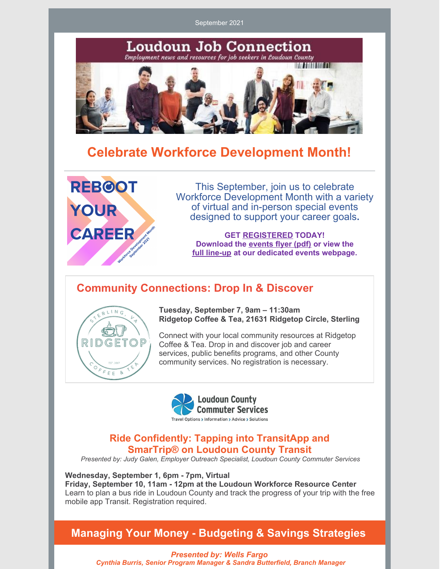September 2021



# **Celebrate Workforce Development Month!**



This September, join us to celebrate Workforce Development Month with a variety of virtual and in-person special events designed to support your career goals**.**

**GET [REGISTERED](http://www.loudoun.gov/wrcworkshops) TODAY! Download the [events](https://www.loudoun.gov/DocumentCenter/View/166491/2021-Workforce-Development-Month-Flyer-) flyer (pdf) or view the full [line-up](https://www.loudoun.gov/5412/Workforce-Development-Month) at our dedicated events webpage.**

## **Community Connections: Drop In & Discover**



**Tuesday, September 7, 9am – 11:30am Ridgetop Coffee & Tea, 21631 Ridgetop Circle, Sterling**

Connect with your local community resources at Ridgetop Coffee & Tea. Drop in and discover job and career services, public benefits programs, and other County community services. No registration is necessary.



### **Ride Confidently: Tapping into TransitApp and SmarTrip® on Loudoun County Transit**

*Presented by: Judy Galen, Employer Outreach Specialist, Loudoun County Commuter Services*

**Wednesday, September 1, 6pm - 7pm, Virtual Friday, September 10, 11am - 12pm at the Loudoun Workforce Resource Center** Learn to plan a bus ride in Loudoun County and track the progress of your trip with the free mobile app Transit. Registration required.

### **Managing Your Money - Budgeting & Savings Strategies**

*Presented by: Wells Fargo Cynthia Burris, Senior Program Manager & Sandra Butterfield, Branch Manager*